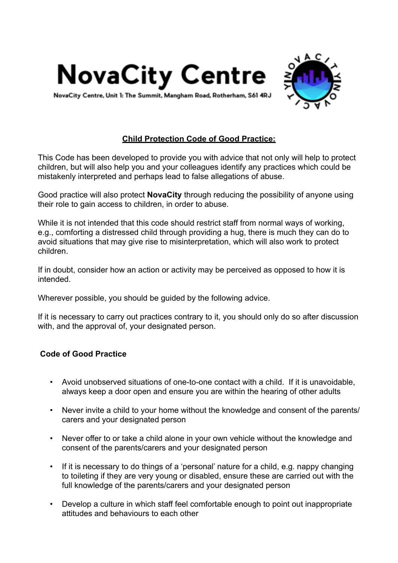



NovaCity Centre, Unit 1: The Summit, Mangham Road, Rotherham, S61 4RJ

## **Child Protection Code of Good Practice:**

This Code has been developed to provide you with advice that not only will help to protect children, but will also help you and your colleagues identify any practices which could be mistakenly interpreted and perhaps lead to false allegations of abuse.

Good practice will also protect **NovaCity** through reducing the possibility of anyone using their role to gain access to children, in order to abuse.

While it is not intended that this code should restrict staff from normal ways of working, e.g., comforting a distressed child through providing a hug, there is much they can do to avoid situations that may give rise to misinterpretation, which will also work to protect children.

If in doubt, consider how an action or activity may be perceived as opposed to how it is intended.

Wherever possible, you should be guided by the following advice.

If it is necessary to carry out practices contrary to it, you should only do so after discussion with, and the approval of, your designated person.

## **Code of Good Practice**

- Avoid unobserved situations of one-to-one contact with a child. If it is unavoidable, always keep a door open and ensure you are within the hearing of other adults
- Never invite a child to your home without the knowledge and consent of the parents/ carers and your designated person
- Never offer to or take a child alone in your own vehicle without the knowledge and consent of the parents/carers and your designated person
- If it is necessary to do things of a 'personal' nature for a child, e.g. nappy changing to toileting if they are very young or disabled, ensure these are carried out with the full knowledge of the parents/carers and your designated person
- Develop a culture in which staff feel comfortable enough to point out inappropriate attitudes and behaviours to each other